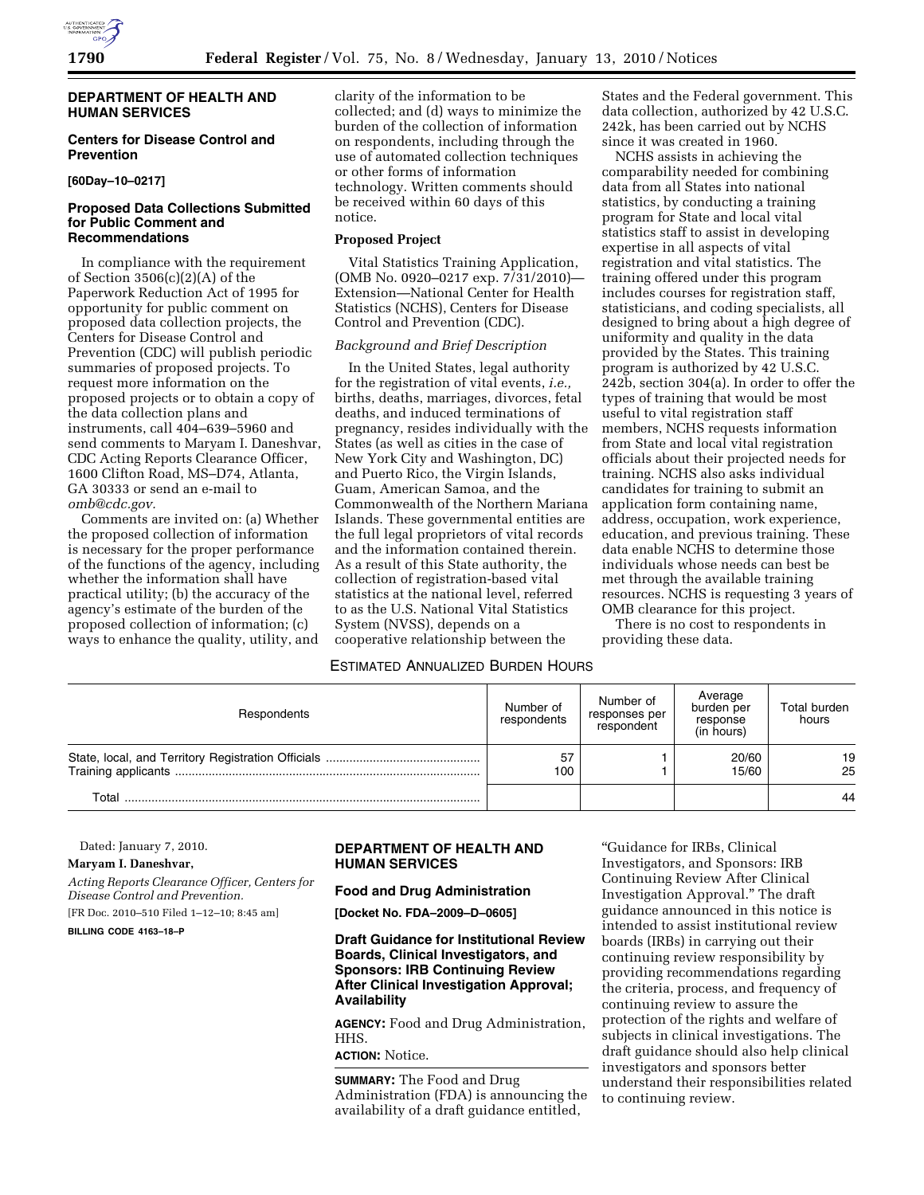

# **DEPARTMENT OF HEALTH AND HUMAN SERVICES**

# **Centers for Disease Control and Prevention**

## **[60Day–10–0217]**

# **Proposed Data Collections Submitted for Public Comment and Recommendations**

In compliance with the requirement of Section 3506(c)(2)(A) of the Paperwork Reduction Act of 1995 for opportunity for public comment on proposed data collection projects, the Centers for Disease Control and Prevention (CDC) will publish periodic summaries of proposed projects. To request more information on the proposed projects or to obtain a copy of the data collection plans and instruments, call 404–639–5960 and send comments to Maryam I. Daneshvar, CDC Acting Reports Clearance Officer, 1600 Clifton Road, MS–D74, Atlanta, GA 30333 or send an e-mail to *omb@cdc.gov.* 

Comments are invited on: (a) Whether the proposed collection of information is necessary for the proper performance of the functions of the agency, including whether the information shall have practical utility; (b) the accuracy of the agency's estimate of the burden of the proposed collection of information; (c) ways to enhance the quality, utility, and

clarity of the information to be collected; and (d) ways to minimize the burden of the collection of information on respondents, including through the use of automated collection techniques or other forms of information technology. Written comments should be received within 60 days of this notice.

# **Proposed Project**

Vital Statistics Training Application, (OMB No. 0920–0217 exp. 7/31/2010)— Extension—National Center for Health Statistics (NCHS), Centers for Disease Control and Prevention (CDC).

### *Background and Brief Description*

In the United States, legal authority for the registration of vital events, *i.e.,*  births, deaths, marriages, divorces, fetal deaths, and induced terminations of pregnancy, resides individually with the States (as well as cities in the case of New York City and Washington, DC) and Puerto Rico, the Virgin Islands, Guam, American Samoa, and the Commonwealth of the Northern Mariana Islands. These governmental entities are the full legal proprietors of vital records and the information contained therein. As a result of this State authority, the collection of registration-based vital statistics at the national level, referred to as the U.S. National Vital Statistics System (NVSS), depends on a cooperative relationship between the

# ESTIMATED ANNUALIZED BURDEN HOURS

States and the Federal government. This data collection, authorized by 42 U.S.C. 242k, has been carried out by NCHS since it was created in 1960.

NCHS assists in achieving the comparability needed for combining data from all States into national statistics, by conducting a training program for State and local vital statistics staff to assist in developing expertise in all aspects of vital registration and vital statistics. The training offered under this program includes courses for registration staff, statisticians, and coding specialists, all designed to bring about a high degree of uniformity and quality in the data provided by the States. This training program is authorized by 42 U.S.C. 242b, section 304(a). In order to offer the types of training that would be most useful to vital registration staff members, NCHS requests information from State and local vital registration officials about their projected needs for training. NCHS also asks individual candidates for training to submit an application form containing name, address, occupation, work experience, education, and previous training. These data enable NCHS to determine those individuals whose needs can best be met through the available training resources. NCHS is requesting 3 years of OMB clearance for this project.

There is no cost to respondents in providing these data.

| Respondents | Number of<br>respondents | Number of<br>responses per<br>respondent | Average<br>burden per<br>response<br>(in hours) | Total burden<br>hours |
|-------------|--------------------------|------------------------------------------|-------------------------------------------------|-----------------------|
|             | 57<br>100                |                                          | 20/60<br>15/60                                  | 19<br>25              |
| Total       |                          |                                          |                                                 | 44                    |

Dated: January 7, 2010.

#### **Maryam I. Daneshvar,**

*Acting Reports Clearance Officer, Centers for Disease Control and Prevention.* 

[FR Doc. 2010–510 Filed 1–12–10; 8:45 am]

**BILLING CODE 4163–18–P** 

## **DEPARTMENT OF HEALTH AND HUMAN SERVICES**

### **Food and Drug Administration**

**[Docket No. FDA–2009–D–0605]** 

# **Draft Guidance for Institutional Review Boards, Clinical Investigators, and Sponsors: IRB Continuing Review After Clinical Investigation Approval; Availability**

**AGENCY:** Food and Drug Administration, HHS.

**ACTION:** Notice.

**SUMMARY:** The Food and Drug Administration (FDA) is announcing the availability of a draft guidance entitled,

''Guidance for IRBs, Clinical Investigators, and Sponsors: IRB Continuing Review After Clinical Investigation Approval.'' The draft guidance announced in this notice is intended to assist institutional review boards (IRBs) in carrying out their continuing review responsibility by providing recommendations regarding the criteria, process, and frequency of continuing review to assure the protection of the rights and welfare of subjects in clinical investigations. The draft guidance should also help clinical investigators and sponsors better understand their responsibilities related to continuing review.